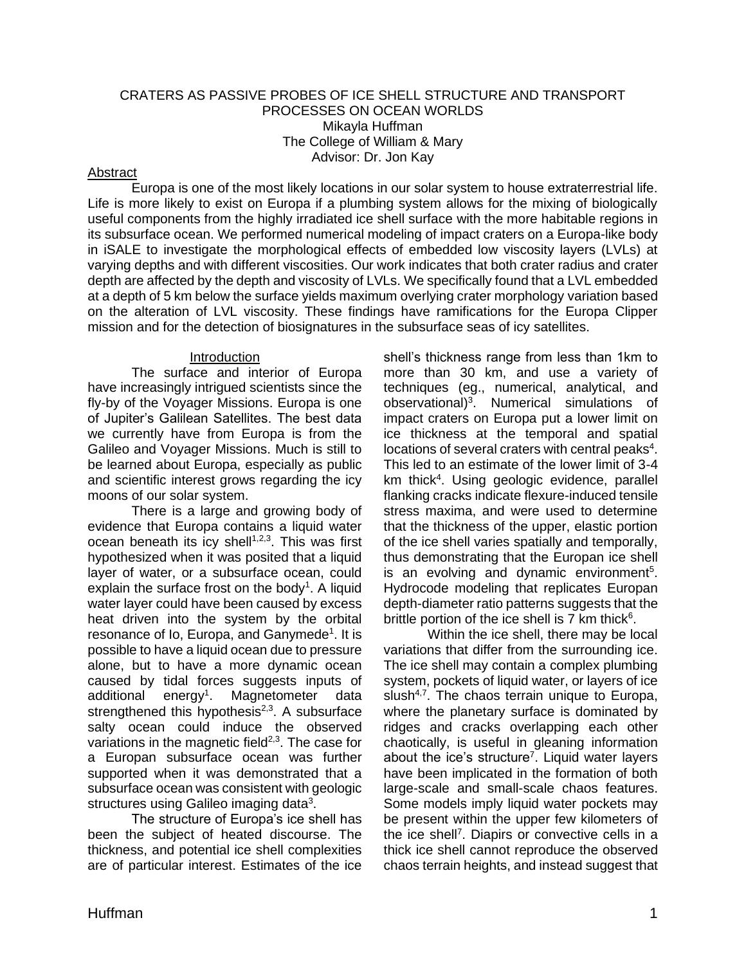### CRATERS AS PASSIVE PROBES OF ICE SHELL STRUCTURE AND TRANSPORT PROCESSES ON OCEAN WORLDS Mikayla Huffman The College of William & Mary Advisor: Dr. Jon Kay

### Abstract

Europa is one of the most likely locations in our solar system to house extraterrestrial life. Life is more likely to exist on Europa if a plumbing system allows for the mixing of biologically useful components from the highly irradiated ice shell surface with the more habitable regions in its subsurface ocean. We performed numerical modeling of impact craters on a Europa-like body in iSALE to investigate the morphological effects of embedded low viscosity layers (LVLs) at varying depths and with different viscosities. Our work indicates that both crater radius and crater depth are affected by the depth and viscosity of LVLs. We specifically found that a LVL embedded at a depth of 5 km below the surface yields maximum overlying crater morphology variation based on the alteration of LVL viscosity. These findings have ramifications for the Europa Clipper mission and for the detection of biosignatures in the subsurface seas of icy satellites.

#### Introduction

The surface and interior of Europa have increasingly intrigued scientists since the fly-by of the Voyager Missions. Europa is one of Jupiter's Galilean Satellites. The best data we currently have from Europa is from the Galileo and Voyager Missions. Much is still to be learned about Europa, especially as public and scientific interest grows regarding the icy moons of our solar system.

There is a large and growing body of evidence that Europa contains a liquid water ocean beneath its icy shell<sup>1,2,3</sup>. This was first hypothesized when it was posited that a liquid layer of water, or a subsurface ocean, could explain the surface frost on the body $1$ . A liquid water layer could have been caused by excess heat driven into the system by the orbital resonance of Io, Europa, and Ganymede<sup>1</sup>. It is possible to have a liquid ocean due to pressure alone, but to have a more dynamic ocean caused by tidal forces suggests inputs of additional energy<sup>1</sup>. Magnetometer data strengthened this hypothesis<sup>2,3</sup>. A subsurface salty ocean could induce the observed variations in the magnetic field $2,3$ . The case for a Europan subsurface ocean was further supported when it was demonstrated that a subsurface ocean was consistent with geologic structures using Galileo imaging data $3$ .

The structure of Europa's ice shell has been the subject of heated discourse. The thickness, and potential ice shell complexities are of particular interest. Estimates of the ice shell's thickness range from less than 1km to more than 30 km, and use a variety of techniques (eg., numerical, analytical, and observational)<sup>3</sup>. Numerical simulations of impact craters on Europa put a lower limit on ice thickness at the temporal and spatial locations of several craters with central peaks<sup>4</sup>. This led to an estimate of the lower limit of 3-4 km thick<sup>4</sup>. Using geologic evidence, parallel flanking cracks indicate flexure-induced tensile stress maxima, and were used to determine that the thickness of the upper, elastic portion of the ice shell varies spatially and temporally, thus demonstrating that the Europan ice shell is an evolving and dynamic environment<sup>5</sup>. Hydrocode modeling that replicates Europan depth-diameter ratio patterns suggests that the brittle portion of the ice shell is 7 km thick<sup>6</sup>.

Within the ice shell, there may be local variations that differ from the surrounding ice. The ice shell may contain a complex plumbing system, pockets of liquid water, or layers of ice slush<sup>4,7</sup>. The chaos terrain unique to Europa, where the planetary surface is dominated by ridges and cracks overlapping each other chaotically, is useful in gleaning information about the ice's structure<sup>7</sup>. Liquid water layers have been implicated in the formation of both large-scale and small-scale chaos features. Some models imply liquid water pockets may be present within the upper few kilometers of the ice shell<sup>7</sup>. Diapirs or convective cells in a thick ice shell cannot reproduce the observed chaos terrain heights, and instead suggest that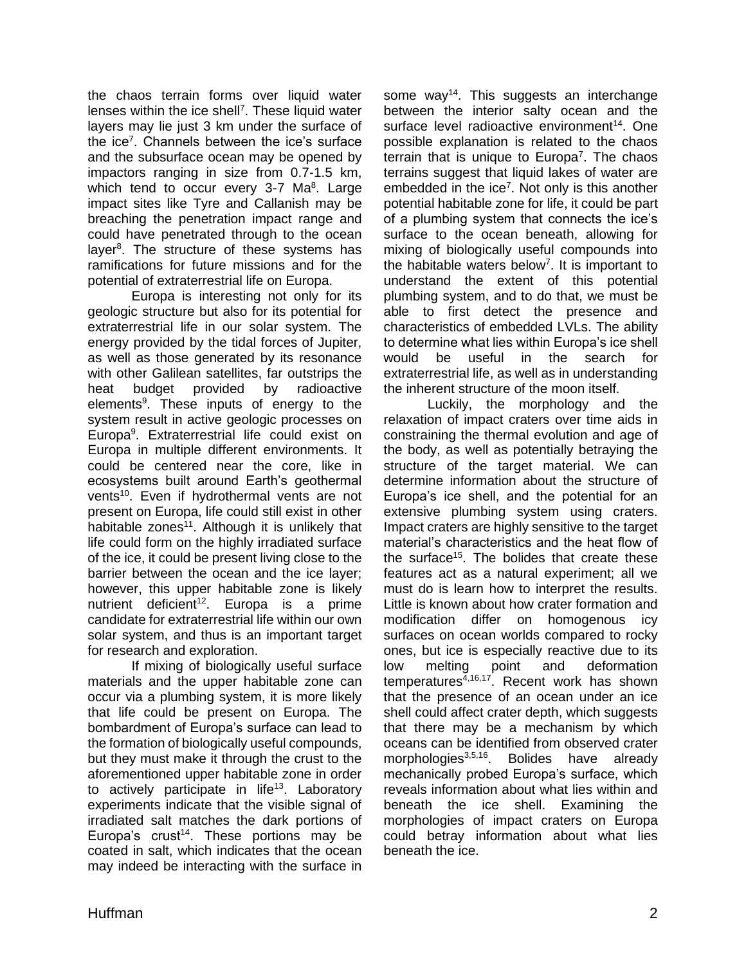the chaos terrain forms over liquid water lenses within the ice shell<sup>7</sup>. These liquid water layers may lie just 3 km under the surface of the ice<sup>7</sup>. Channels between the ice's surface and the subsurface ocean may be opened by impactors ranging in size from 0.7-1.5 km, which tend to occur every 3-7 Ma<sup>8</sup>. Large impact sites like Tyre and Callanish may be breaching the penetration impact range and could have penetrated through to the ocean layer<sup>8</sup>. The structure of these systems has ramifications for future missions and for the potential of extraterrestrial life on Europa.

Europa is interesting not only for its geologic structure but also for its potential for extraterrestrial life in our solar system. The energy provided by the tidal forces of Jupiter, as well as those generated by its resonance with other Galilean satellites, far outstrips the heat budget provided by radioactive elements<sup>9</sup>. These inputs of energy to the system result in active geologic processes on Europa<sup>9</sup>. Extraterrestrial life could exist on Europa in multiple different environments. It could be centered near the core, like in ecosystems built around Earth's geothermal vents<sup>10</sup>. Even if hydrothermal vents are not present on Europa, life could still exist in other habitable zones<sup>11</sup>. Although it is unlikely that life could form on the highly irradiated surface of the ice, it could be present living close to the barrier between the ocean and the ice layer; however, this upper habitable zone is likely nutrient deficient<sup>12</sup>. Europa is a prime candidate for extraterrestrial life within our own solar system, and thus is an important target for research and exploration.

If mixing of biologically useful surface materials and the upper habitable zone can occur via a plumbing system, it is more likely that life could be present on Europa. The bombardment of Europa's surface can lead to the formation of biologically useful compounds, but they must make it through the crust to the aforementioned upper habitable zone in order to actively participate in life<sup>13</sup>. Laboratory experiments indicate that the visible signal of irradiated salt matches the dark portions of Europa's crust<sup>14</sup>. These portions may be coated in salt, which indicates that the ocean may indeed be interacting with the surface in

some way<sup>14</sup>. This suggests an interchange between the interior salty ocean and the surface level radioactive environment<sup>14</sup>. One possible explanation is related to the chaos terrain that is unique to Europa<sup>7</sup>. The chaos terrains suggest that liquid lakes of water are embedded in the ice<sup>7</sup>. Not only is this another potential habitable zone for life, it could be part of a plumbing system that connects the ice's surface to the ocean beneath, allowing for mixing of biologically useful compounds into the habitable waters below<sup>7</sup>. It is important to understand the extent of this potential plumbing system, and to do that, we must be able to first detect the presence and characteristics of embedded LVLs. The ability to determine what lies within Europa's ice shell would be useful in the search for extraterrestrial life, as well as in understanding the inherent structure of the moon itself.

Luckily, the morphology and the relaxation of impact craters over time aids in constraining the thermal evolution and age of the body, as well as potentially betraying the structure of the target material. We can determine information about the structure of Europa's ice shell, and the potential for an extensive plumbing system using craters. Impact craters are highly sensitive to the target material's characteristics and the heat flow of the surface<sup>15</sup>. The bolides that create these features act as a natural experiment; all we must do is learn how to interpret the results. Little is known about how crater formation and modification differ on homogenous icy surfaces on ocean worlds compared to rocky ones, but ice is especially reactive due to its low melting point and deformation  $temperatures$ <sup> $\tilde{4},16,17$ </sup>. Recent work has shown that the presence of an ocean under an ice shell could affect crater depth, which suggests that there may be a mechanism by which oceans can be identified from observed crater morphologies<sup>3,5,16</sup>. Bolides have already mechanically probed Europa's surface, which reveals information about what lies within and beneath the ice shell. Examining the morphologies of impact craters on Europa could betray information about what lies beneath the ice.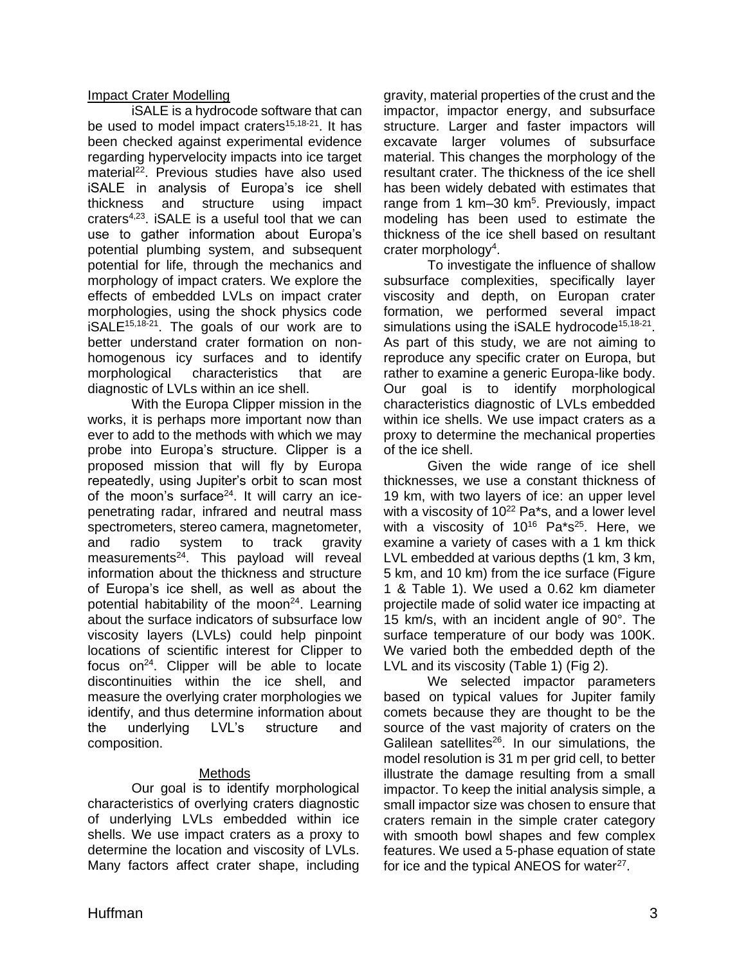### Impact Crater Modelling

iSALE is a hydrocode software that can be used to model impact craters<sup>15,18-21</sup>. It has been checked against experimental evidence regarding hypervelocity impacts into ice target material<sup>22</sup>. Previous studies have also used iSALE in analysis of Europa's ice shell thickness and structure using impact craters4,23. iSALE is a useful tool that we can use to gather information about Europa's potential plumbing system, and subsequent potential for life, through the mechanics and morphology of impact craters. We explore the effects of embedded LVLs on impact crater morphologies, using the shock physics code  $iSALE^{15,18-21}$ . The goals of our work are to better understand crater formation on nonhomogenous icy surfaces and to identify morphological characteristics that are diagnostic of LVLs within an ice shell.

With the Europa Clipper mission in the works, it is perhaps more important now than ever to add to the methods with which we may probe into Europa's structure. Clipper is a proposed mission that will fly by Europa repeatedly, using Jupiter's orbit to scan most of the moon's surface $24$ . It will carry an icepenetrating radar, infrared and neutral mass spectrometers, stereo camera, magnetometer, and radio system to track gravity measurements $24$ . This payload will reveal information about the thickness and structure of Europa's ice shell, as well as about the potential habitability of the moon<sup>24</sup>. Learning about the surface indicators of subsurface low viscosity layers (LVLs) could help pinpoint locations of scientific interest for Clipper to focus on $^{24}$ . Clipper will be able to locate discontinuities within the ice shell, and measure the overlying crater morphologies we identify, and thus determine information about the underlying LVL's structure and composition.

## **Methods**

Our goal is to identify morphological characteristics of overlying craters diagnostic of underlying LVLs embedded within ice shells. We use impact craters as a proxy to determine the location and viscosity of LVLs. Many factors affect crater shape, including gravity, material properties of the crust and the impactor, impactor energy, and subsurface structure. Larger and faster impactors will excavate larger volumes of subsurface material. This changes the morphology of the resultant crater. The thickness of the ice shell has been widely debated with estimates that range from 1 km-30 km<sup>5</sup>. Previously, impact modeling has been used to estimate the thickness of the ice shell based on resultant crater morphology<sup>4</sup>.

To investigate the influence of shallow subsurface complexities, specifically layer viscosity and depth, on Europan crater formation, we performed several impact simulations using the iSALE hydrocode<sup>15,18-21</sup>. As part of this study, we are not aiming to reproduce any specific crater on Europa, but rather to examine a generic Europa-like body. Our goal is to identify morphological characteristics diagnostic of LVLs embedded within ice shells. We use impact craters as a proxy to determine the mechanical properties of the ice shell.

Given the wide range of ice shell thicknesses, we use a constant thickness of 19 km, with two layers of ice: an upper level with a viscosity of  $10^{22}$  Pa\*s, and a lower level with a viscosity of 10<sup>16</sup> Pa\*s<sup>25</sup>. Here, we examine a variety of cases with a 1 km thick LVL embedded at various depths (1 km, 3 km, 5 km, and 10 km) from the ice surface (Figure 1 & Table 1). We used a 0.62 km diameter projectile made of solid water ice impacting at 15 km/s, with an incident angle of 90°. The surface temperature of our body was 100K. We varied both the embedded depth of the LVL and its viscosity (Table 1) (Fig 2).

We selected impactor parameters based on typical values for Jupiter family comets because they are thought to be the source of the vast majority of craters on the Galilean satellites $26$ . In our simulations, the model resolution is 31 m per grid cell, to better illustrate the damage resulting from a small impactor. To keep the initial analysis simple, a small impactor size was chosen to ensure that craters remain in the simple crater category with smooth bowl shapes and few complex features. We used a 5-phase equation of state for ice and the typical ANEOS for water<sup>27</sup>.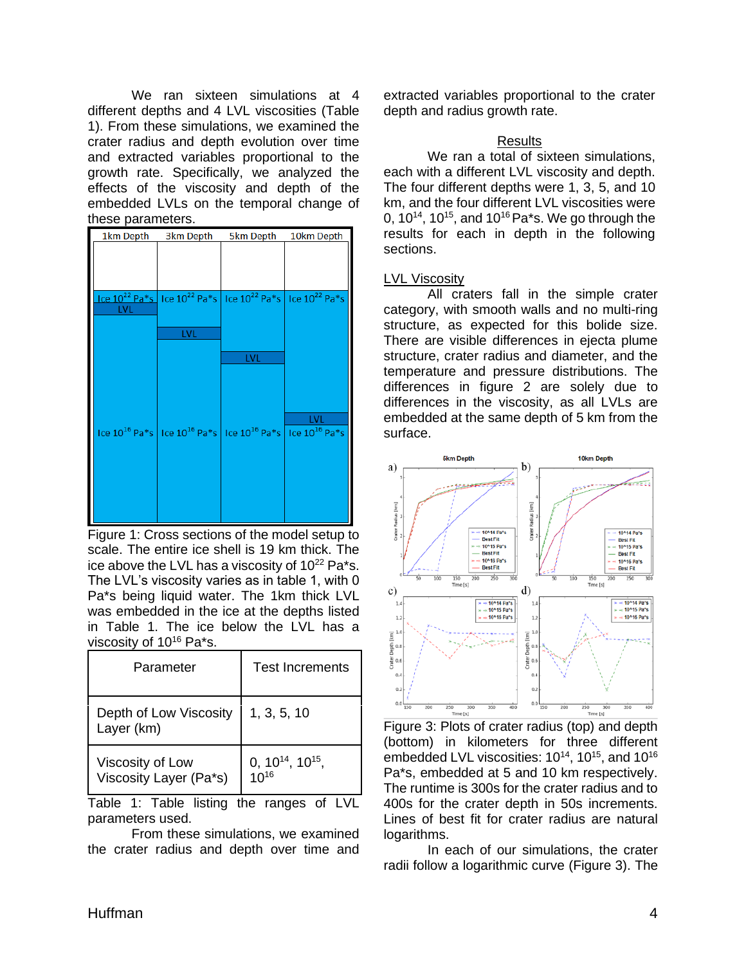We ran sixteen simulations at 4 different depths and 4 LVL viscosities (Table 1). From these simulations, we examined the crater radius and depth evolution over time and extracted variables proportional to the growth rate. Specifically, we analyzed the effects of the viscosity and depth of the embedded LVLs on the temporal change of these parameters.

| 1km Depth  | 3km Depth                                                       | 5km Depth | 10km Depth         |
|------------|-----------------------------------------------------------------|-----------|--------------------|
|            |                                                                 |           |                    |
|            |                                                                 |           |                    |
|            | $ 10^{22}$ Pa*s $ 10^{22}$ Pa*s $ 10^{22}$ Pa*s $ 10^{22}$ Pa*s |           | Ice $10^{22}$ Pa*s |
| <b>LVL</b> |                                                                 |           |                    |
|            | <b>LVL</b>                                                      |           |                    |
|            |                                                                 |           |                    |
|            |                                                                 | LVL       |                    |
|            |                                                                 |           |                    |
|            |                                                                 |           | <b>LVL</b>         |
|            | Ice $10^{16}$ Pa*s   Ice $10^{16}$ Pa*s   Ice $10^{16}$ Pa*s    |           | Ice $10^{16}$ Pa*s |
|            |                                                                 |           |                    |
|            |                                                                 |           |                    |
|            |                                                                 |           |                    |
|            |                                                                 |           |                    |
|            |                                                                 |           |                    |

Figure 1: Cross sections of the model setup to scale. The entire ice shell is 19 km thick. The ice above the LVL has a viscosity of  $10^{22}$  Pa\*s. The LVL's viscosity varies as in table 1, with 0 Pa\*s being liquid water. The 1km thick LVL was embedded in the ice at the depths listed in Table 1. The ice below the LVL has a viscosity of 10<sup>16</sup> Pa\*s.

| Parameter                                  | <b>Test Increments</b>              |  |
|--------------------------------------------|-------------------------------------|--|
| Depth of Low Viscosity<br>Layer (km)       | 1, 3, 5, 10                         |  |
| Viscosity of Low<br>Viscosity Layer (Pa*s) | $0, 10^{14}, 10^{15},$<br>$10^{16}$ |  |

Table 1: Table listing the ranges of LVL parameters used.

From these simulations, we examined the crater radius and depth over time and extracted variables proportional to the crater depth and radius growth rate.

## **Results**

We ran a total of sixteen simulations, each with a different LVL viscosity and depth. The four different depths were 1, 3, 5, and 10 km, and the four different LVL viscosities were 0,  $10^{14}$ ,  $10^{15}$ , and  $10^{16}$  Pa\*s. We go through the results for each in depth in the following sections.

#### LVL Viscosity

All craters fall in the simple crater category, with smooth walls and no multi-ring structure, as expected for this bolide size. There are visible differences in ejecta plume structure, crater radius and diameter, and the temperature and pressure distributions. The differences in figure 2 are solely due to differences in the viscosity, as all LVLs are embedded at the same depth of 5 km from the surface.



Figure 3: Plots of crater radius (top) and depth (bottom) in kilometers for three different embedded LVL viscosities: 10<sup>14</sup>, 10<sup>15</sup>, and 10<sup>16</sup> Pa\*s, embedded at 5 and 10 km respectively. The runtime is 300s for the crater radius and to 400s for the crater depth in 50s increments. Lines of best fit for crater radius are natural logarithms.

In each of our simulations, the crater radii follow a logarithmic curve (Figure 3). The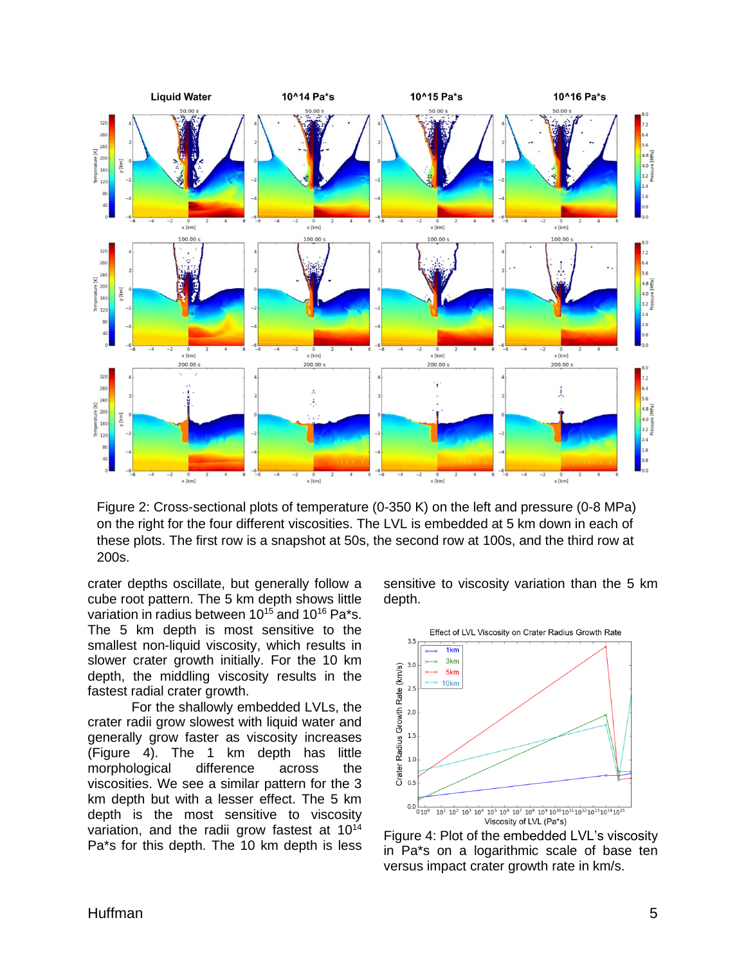

Figure 2: Cross-sectional plots of temperature (0-350 K) on the left and pressure (0-8 MPa) on the right for the four different viscosities. The LVL is embedded at 5 km down in each of these plots. The first row is a snapshot at 50s, the second row at 100s, and the third row at 200s.

crater depths oscillate, but generally follow a cube root pattern. The 5 km depth shows little variation in radius between  $10^{15}$  and  $10^{16}$  Pa\*s. The 5 km depth is most sensitive to the smallest non-liquid viscosity, which results in slower crater growth initially. For the 10 km depth, the middling viscosity results in the fastest radial crater growth.

For the shallowly embedded LVLs, the crater radii grow slowest with liquid water and generally grow faster as viscosity increases (Figure 4). The 1 km depth has little morphological difference across the viscosities. We see a similar pattern for the 3 km depth but with a lesser effect. The 5 km depth is the most sensitive to viscosity variation, and the radii grow fastest at 10<sup>14</sup> Pa\*s for this depth. The 10 km depth is less sensitive to viscosity variation than the 5 km depth.



Figure 4: Plot of the embedded LVL's viscosity in Pa\*s on a logarithmic scale of base ten versus impact crater growth rate in km/s.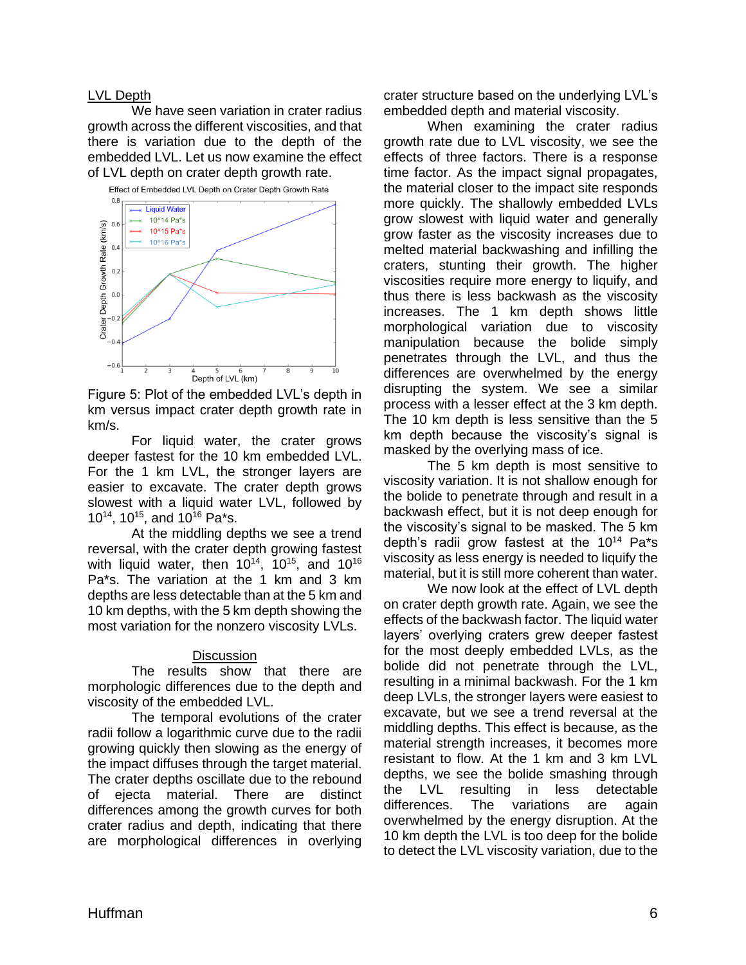#### LVL Depth

We have seen variation in crater radius growth across the different viscosities, and that there is variation due to the depth of the embedded LVL. Let us now examine the effect of LVL depth on crater depth growth rate.



Figure 5: Plot of the embedded LVL's depth in km versus impact crater depth growth rate in km/s.

For liquid water, the crater grows deeper fastest for the 10 km embedded LVL. For the 1 km LVL, the stronger layers are easier to excavate. The crater depth grows slowest with a liquid water LVL, followed by 10<sup>14</sup>, 10<sup>15</sup>, and 10<sup>16</sup> Pa<sup>\*</sup>s.

At the middling depths we see a trend reversal, with the crater depth growing fastest with liquid water, then  $10^{14}$ ,  $10^{15}$ , and  $10^{16}$ Pa\*s. The variation at the 1 km and 3 km depths are less detectable than at the 5 km and 10 km depths, with the 5 km depth showing the most variation for the nonzero viscosity LVLs.

#### **Discussion**

The results show that there are morphologic differences due to the depth and viscosity of the embedded LVL.

The temporal evolutions of the crater radii follow a logarithmic curve due to the radii growing quickly then slowing as the energy of the impact diffuses through the target material. The crater depths oscillate due to the rebound of ejecta material. There are distinct differences among the growth curves for both crater radius and depth, indicating that there are morphological differences in overlying

crater structure based on the underlying LVL's embedded depth and material viscosity.

When examining the crater radius growth rate due to LVL viscosity, we see the effects of three factors. There is a response time factor. As the impact signal propagates, the material closer to the impact site responds more quickly. The shallowly embedded LVLs grow slowest with liquid water and generally grow faster as the viscosity increases due to melted material backwashing and infilling the craters, stunting their growth. The higher viscosities require more energy to liquify, and thus there is less backwash as the viscosity increases. The 1 km depth shows little morphological variation due to viscosity manipulation because the bolide simply penetrates through the LVL, and thus the differences are overwhelmed by the energy disrupting the system. We see a similar process with a lesser effect at the 3 km depth. The 10 km depth is less sensitive than the 5 km depth because the viscosity's signal is masked by the overlying mass of ice.

The 5 km depth is most sensitive to viscosity variation. It is not shallow enough for the bolide to penetrate through and result in a backwash effect, but it is not deep enough for the viscosity's signal to be masked. The 5 km depth's radii grow fastest at the 10<sup>14</sup> Pa\*s viscosity as less energy is needed to liquify the material, but it is still more coherent than water.

We now look at the effect of LVL depth on crater depth growth rate. Again, we see the effects of the backwash factor. The liquid water layers' overlying craters grew deeper fastest for the most deeply embedded LVLs, as the bolide did not penetrate through the LVL, resulting in a minimal backwash. For the 1 km deep LVLs, the stronger layers were easiest to excavate, but we see a trend reversal at the middling depths. This effect is because, as the material strength increases, it becomes more resistant to flow. At the 1 km and 3 km LVL depths, we see the bolide smashing through the LVL resulting in less detectable differences. The variations are again overwhelmed by the energy disruption. At the 10 km depth the LVL is too deep for the bolide to detect the LVL viscosity variation, due to the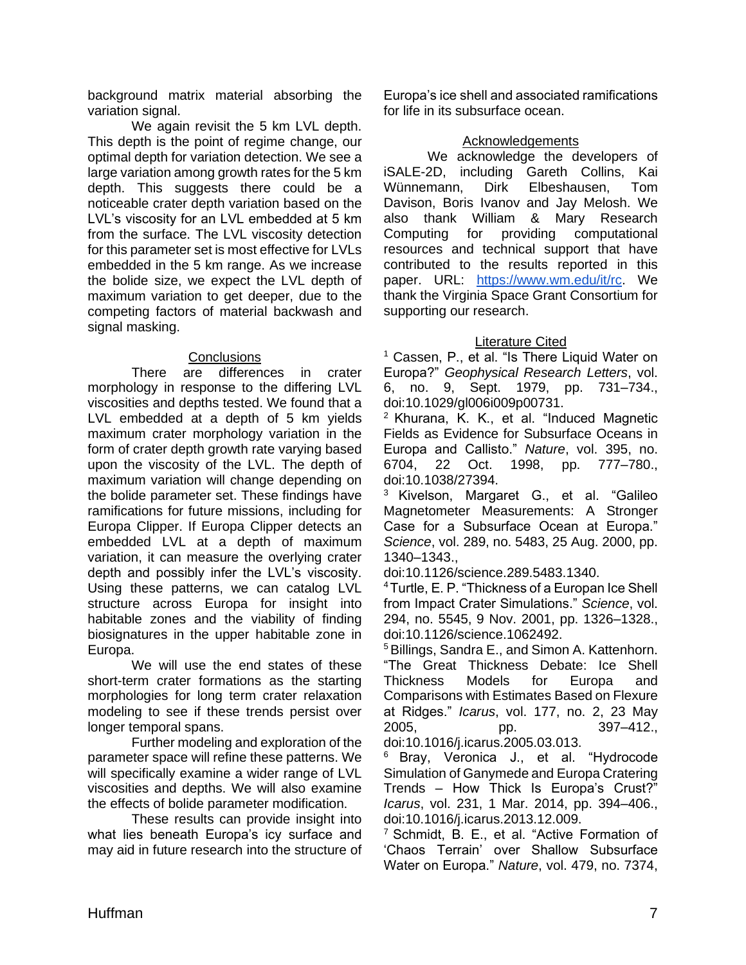background matrix material absorbing the variation signal.

We again revisit the 5 km LVL depth. This depth is the point of regime change, our optimal depth for variation detection. We see a large variation among growth rates for the 5 km depth. This suggests there could be a noticeable crater depth variation based on the LVL's viscosity for an LVL embedded at 5 km from the surface. The LVL viscosity detection for this parameter set is most effective for LVLs embedded in the 5 km range. As we increase the bolide size, we expect the LVL depth of maximum variation to get deeper, due to the competing factors of material backwash and signal masking.

## **Conclusions**

There are differences in crater morphology in response to the differing LVL viscosities and depths tested. We found that a LVL embedded at a depth of 5 km yields maximum crater morphology variation in the form of crater depth growth rate varying based upon the viscosity of the LVL. The depth of maximum variation will change depending on the bolide parameter set. These findings have ramifications for future missions, including for Europa Clipper. If Europa Clipper detects an embedded LVL at a depth of maximum variation, it can measure the overlying crater depth and possibly infer the LVL's viscosity. Using these patterns, we can catalog LVL structure across Europa for insight into habitable zones and the viability of finding biosignatures in the upper habitable zone in Europa.

We will use the end states of these short-term crater formations as the starting morphologies for long term crater relaxation modeling to see if these trends persist over longer temporal spans.

Further modeling and exploration of the parameter space will refine these patterns. We will specifically examine a wider range of LVL viscosities and depths. We will also examine the effects of bolide parameter modification.

These results can provide insight into what lies beneath Europa's icy surface and may aid in future research into the structure of

Europa's ice shell and associated ramifications for life in its subsurface ocean.

## Acknowledgements

We acknowledge the developers of iSALE-2D, including Gareth Collins, Kai Wünnemann, Dirk Elbeshausen, Tom Davison, Boris Ivanov and Jay Melosh. We also thank William & Mary Research Computing for providing computational resources and technical support that have contributed to the results reported in this paper. URL: [https://www.wm.edu/it/rc.](https://www.wm.edu/it/rc) We thank the Virginia Space Grant Consortium for supporting our research.

# Literature Cited

<sup>1</sup> Cassen, P., et al. "Is There Liquid Water on Europa?" *Geophysical Research Letters*, vol. 6, no. 9, Sept. 1979, pp. 731–734., doi:10.1029/gl006i009p00731.

<sup>2</sup> Khurana, K. K., et al. "Induced Magnetic Fields as Evidence for Subsurface Oceans in Europa and Callisto." *Nature*, vol. 395, no. 6704, 22 Oct. 1998, pp. 777–780., doi:10.1038/27394.

<sup>3</sup> Kivelson, Margaret G., et al. "Galileo Magnetometer Measurements: A Stronger Case for a Subsurface Ocean at Europa." *Science*, vol. 289, no. 5483, 25 Aug. 2000, pp. 1340–1343.,

doi:10.1126/science.289.5483.1340.

<sup>4</sup>Turtle, E. P. "Thickness of a Europan Ice Shell from Impact Crater Simulations." *Science*, vol. 294, no. 5545, 9 Nov. 2001, pp. 1326–1328., doi:10.1126/science.1062492.

<sup>5</sup> Billings, Sandra E., and Simon A. Kattenhorn. "The Great Thickness Debate: Ice Shell Thickness Models for Europa and Comparisons with Estimates Based on Flexure at Ridges." *Icarus*, vol. 177, no. 2, 23 May 2005, pp. 397–412., doi:10.1016/j.icarus.2005.03.013.

<sup>6</sup> Bray, Veronica J., et al. "Hydrocode Simulation of Ganymede and Europa Cratering Trends – How Thick Is Europa's Crust?" *Icarus*, vol. 231, 1 Mar. 2014, pp. 394–406., doi:10.1016/j.icarus.2013.12.009.

<sup>7</sup> Schmidt, B. E., et al. "Active Formation of 'Chaos Terrain' over Shallow Subsurface Water on Europa." *Nature*, vol. 479, no. 7374,